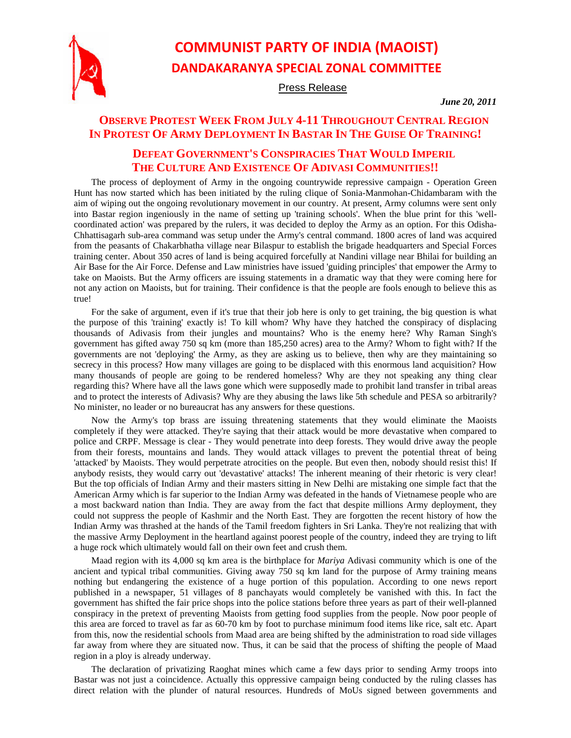

# **COMMUNIST PARTY OF INDIA (MAOIST) DANDAKARANYA SPECIAL ZONAL COMMITTEE**

Press Release

*June 20, 2011* 

## **OBSERVE PROTEST WEEK FROM JULY 4-11 THROUGHOUT CENTRAL REGION IN PROTEST OF ARMY DEPLOYMENT IN BASTAR IN THE GUISE OF TRAINING!**

## **DEFEAT GOVERNMENT'S CONSPIRACIES THAT WOULD IMPERIL THE CULTURE AND EXISTENCE OF ADIVASI COMMUNITIES!!**

The process of deployment of Army in the ongoing countrywide repressive campaign - Operation Green Hunt has now started which has been initiated by the ruling clique of Sonia-Manmohan-Chidambaram with the aim of wiping out the ongoing revolutionary movement in our country. At present, Army columns were sent only into Bastar region ingeniously in the name of setting up 'training schools'. When the blue print for this 'wellcoordinated action' was prepared by the rulers, it was decided to deploy the Army as an option. For this Odisha-Chhattisagarh sub-area command was setup under the Army's central command. 1800 acres of land was acquired from the peasants of Chakarbhatha village near Bilaspur to establish the brigade headquarters and Special Forces training center. About 350 acres of land is being acquired forcefully at Nandini village near Bhilai for building an Air Base for the Air Force. Defense and Law ministries have issued 'guiding principles' that empower the Army to take on Maoists. But the Army officers are issuing statements in a dramatic way that they were coming here for not any action on Maoists, but for training. Their confidence is that the people are fools enough to believe this as true!

For the sake of argument, even if it's true that their job here is only to get training, the big question is what the purpose of this 'training' exactly is! To kill whom? Why have they hatched the conspiracy of displacing thousands of Adivasis from their jungles and mountains? Who is the enemy here? Why Raman Singh's government has gifted away 750 sq km (more than 185,250 acres) area to the Army? Whom to fight with? If the governments are not 'deploying' the Army, as they are asking us to believe, then why are they maintaining so secrecy in this process? How many villages are going to be displaced with this enormous land acquisition? How many thousands of people are going to be rendered homeless? Why are they not speaking any thing clear regarding this? Where have all the laws gone which were supposedly made to prohibit land transfer in tribal areas and to protect the interests of Adivasis? Why are they abusing the laws like 5th schedule and PESA so arbitrarily? No minister, no leader or no bureaucrat has any answers for these questions.

Now the Army's top brass are issuing threatening statements that they would eliminate the Maoists completely if they were attacked. They're saying that their attack would be more devastative when compared to police and CRPF. Message is clear - They would penetrate into deep forests. They would drive away the people from their forests, mountains and lands. They would attack villages to prevent the potential threat of being 'attacked' by Maoists. They would perpetrate atrocities on the people. But even then, nobody should resist this! If anybody resists, they would carry out 'devastative' attacks! The inherent meaning of their rhetoric is very clear! But the top officials of Indian Army and their masters sitting in New Delhi are mistaking one simple fact that the American Army which is far superior to the Indian Army was defeated in the hands of Vietnamese people who are a most backward nation than India. They are away from the fact that despite millions Army deployment, they could not suppress the people of Kashmir and the North East. They are forgotten the recent history of how the Indian Army was thrashed at the hands of the Tamil freedom fighters in Sri Lanka. They're not realizing that with the massive Army Deployment in the heartland against poorest people of the country, indeed they are trying to lift a huge rock which ultimately would fall on their own feet and crush them.

Maad region with its 4,000 sq km area is the birthplace for *Mariya* Adivasi community which is one of the ancient and typical tribal communities. Giving away 750 sq km land for the purpose of Army training means nothing but endangering the existence of a huge portion of this population. According to one news report published in a newspaper, 51 villages of 8 panchayats would completely be vanished with this. In fact the government has shifted the fair price shops into the police stations before three years as part of their well-planned conspiracy in the pretext of preventing Maoists from getting food supplies from the people. Now poor people of this area are forced to travel as far as 60-70 km by foot to purchase minimum food items like rice, salt etc. Apart from this, now the residential schools from Maad area are being shifted by the administration to road side villages far away from where they are situated now. Thus, it can be said that the process of shifting the people of Maad region in a ploy is already underway.

The declaration of privatizing Raoghat mines which came a few days prior to sending Army troops into Bastar was not just a coincidence. Actually this oppressive campaign being conducted by the ruling classes has direct relation with the plunder of natural resources. Hundreds of MoUs signed between governments and